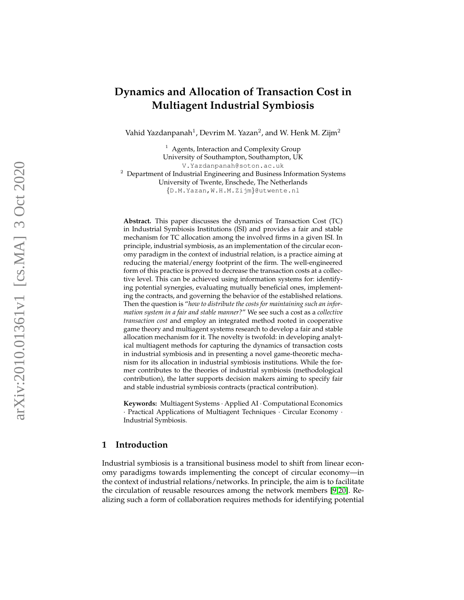# **Dynamics and Allocation of Transaction Cost in Multiagent Industrial Symbiosis**

Vahid Yazdanpanah $^1$ , Devrim M. Yazan $^2$ , and W. Henk M. Zijm $^2$ 

 $<sup>1</sup>$  Agents, Interaction and Complexity Group</sup> University of Southampton, Southampton, UK V.Yazdanpanah@soton.ac.uk  $2$  Department of Industrial Engineering and Business Information Systems University of Twente, Enschede, The Netherlands

{D.M.Yazan,W.H.M.Zijm}@utwente.nl

**Abstract.** This paper discusses the dynamics of Transaction Cost (TC) in Industrial Symbiosis Institutions (ISI) and provides a fair and stable mechanism for TC allocation among the involved firms in a given ISI. In principle, industrial symbiosis, as an implementation of the circular economy paradigm in the context of industrial relation, is a practice aiming at reducing the material/energy footprint of the firm. The well-engineered form of this practice is proved to decrease the transaction costs at a collective level. This can be achieved using information systems for: identifying potential synergies, evaluating mutually beneficial ones, implementing the contracts, and governing the behavior of the established relations. Then the question is "*how to distribute the costs for maintaining such an information system in a fair and stable manner?*" We see such a cost as a *collective transaction cost* and employ an integrated method rooted in cooperative game theory and multiagent systems research to develop a fair and stable allocation mechanism for it. The novelty is twofold: in developing analytical multiagent methods for capturing the dynamics of transaction costs in industrial symbiosis and in presenting a novel game-theoretic mechanism for its allocation in industrial symbiosis institutions. While the former contributes to the theories of industrial symbiosis (methodological contribution), the latter supports decision makers aiming to specify fair and stable industrial symbiosis contracts (practical contribution).

**Keywords:** Multiagent Systems · Applied AI · Computational Economics · Practical Applications of Multiagent Techniques · Circular Economy · Industrial Symbiosis.

# **1 Introduction**

Industrial symbiosis is a transitional business model to shift from linear economy paradigms towards implementing the concept of circular economy—in the context of industrial relations/networks. In principle, the aim is to facilitate the circulation of reusable resources among the network members [\[9,](#page-16-0)[20\]](#page-16-1). Realizing such a form of collaboration requires methods for identifying potential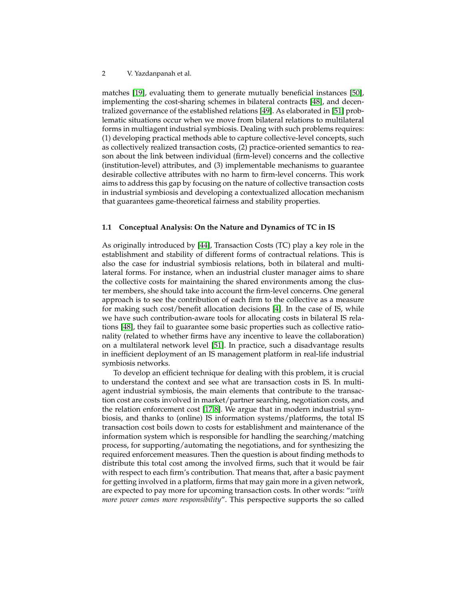matches [\[19\]](#page-16-2), evaluating them to generate mutually beneficial instances [\[50\]](#page-18-0), implementing the cost-sharing schemes in bilateral contracts [\[48\]](#page-18-1), and decentralized governance of the established relations [\[49\]](#page-18-2). As elaborated in [\[51\]](#page-18-3) problematic situations occur when we move from bilateral relations to multilateral forms in multiagent industrial symbiosis. Dealing with such problems requires: (1) developing practical methods able to capture collective-level concepts, such as collectively realized transaction costs, (2) practice-oriented semantics to reason about the link between individual (firm-level) concerns and the collective (institution-level) attributes, and (3) implementable mechanisms to guarantee desirable collective attributes with no harm to firm-level concerns. This work aims to address this gap by focusing on the nature of collective transaction costs in industrial symbiosis and developing a contextualized allocation mechanism that guarantees game-theoretical fairness and stability properties.

#### **1.1 Conceptual Analysis: On the Nature and Dynamics of TC in IS**

As originally introduced by [\[44\]](#page-17-0), Transaction Costs (TC) play a key role in the establishment and stability of different forms of contractual relations. This is also the case for industrial symbiosis relations, both in bilateral and multilateral forms. For instance, when an industrial cluster manager aims to share the collective costs for maintaining the shared environments among the cluster members, she should take into account the firm-level concerns. One general approach is to see the contribution of each firm to the collective as a measure for making such cost/benefit allocation decisions [\[4\]](#page-16-3). In the case of IS, while we have such contribution-aware tools for allocating costs in bilateral IS relations [\[48\]](#page-18-1), they fail to guarantee some basic properties such as collective rationality (related to whether firms have any incentive to leave the collaboration) on a multilateral network level [\[51\]](#page-18-3). In practice, such a disadvantage results in inefficient deployment of an IS management platform in real-life industrial symbiosis networks.

To develop an efficient technique for dealing with this problem, it is crucial to understand the context and see what are transaction costs in IS. In multiagent industrial symbiosis, the main elements that contribute to the transaction cost are costs involved in market/partner searching, negotiation costs, and the relation enforcement cost [\[17,](#page-16-4)[8\]](#page-16-5). We argue that in modern industrial symbiosis, and thanks to (online) IS information systems/platforms, the total IS transaction cost boils down to costs for establishment and maintenance of the information system which is responsible for handling the searching/matching process, for supporting/automating the negotiations, and for synthesizing the required enforcement measures. Then the question is about finding methods to distribute this total cost among the involved firms, such that it would be fair with respect to each firm's contribution. That means that, after a basic payment for getting involved in a platform, firms that may gain more in a given network, are expected to pay more for upcoming transaction costs. In other words: "*with more power comes more responsibility*". This perspective supports the so called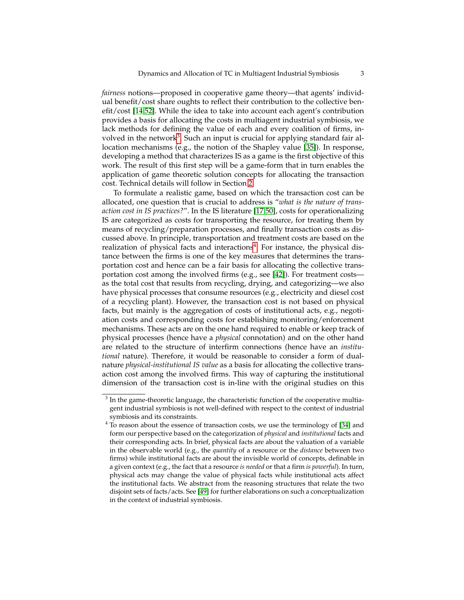*fairness* notions—proposed in cooperative game theory—that agents' individual benefit/cost share oughts to reflect their contribution to the collective benefit/cost [\[14](#page-16-6)[,52\]](#page-18-4). While the idea to take into account each agent's contribution provides a basis for allocating the costs in multiagent industrial symbiosis, we lack methods for defining the value of each and every coalition of firms, in-volved in the network<sup>[3](#page-2-0)</sup>. Such an input is crucial for applying standard fair allocation mechanisms (e.g., the notion of the Shapley value [\[35\]](#page-17-1)). In response, developing a method that characterizes IS as a game is the first objective of this work. The result of this first step will be a game-form that in turn enables the application of game theoretic solution concepts for allocating the transaction cost. Technical details will follow in Section [2.](#page-3-0)

To formulate a realistic game, based on which the transaction cost can be allocated, one question that is crucial to address is "*what is the nature of transaction cost in IS practices?*". In the IS literature [\[17](#page-16-4)[,50\]](#page-18-0), costs for operationalizing IS are categorized as costs for transporting the resource, for treating them by means of recycling/preparation processes, and finally transaction costs as discussed above. In principle, transportation and treatment costs are based on the realization of physical facts and interactions<sup>[4](#page-2-1)</sup>. For instance, the physical distance between the firms is one of the key measures that determines the transportation cost and hence can be a fair basis for allocating the collective transportation cost among the involved firms (e.g., see [\[42\]](#page-17-2)). For treatment costs as the total cost that results from recycling, drying, and categorizing—we also have physical processes that consume resources (e.g., electricity and diesel cost of a recycling plant). However, the transaction cost is not based on physical facts, but mainly is the aggregation of costs of institutional acts, e.g., negotiation costs and corresponding costs for establishing monitoring/enforcement mechanisms. These acts are on the one hand required to enable or keep track of physical processes (hence have a *physical* connotation) and on the other hand are related to the structure of interfirm connections (hence have an *institutional* nature). Therefore, it would be reasonable to consider a form of dualnature *physical-institutional IS value* as a basis for allocating the collective transaction cost among the involved firms. This way of capturing the institutional dimension of the transaction cost is in-line with the original studies on this

<span id="page-2-0"></span> $3$  In the game-theoretic language, the characteristic function of the cooperative multiagent industrial symbiosis is not well-defined with respect to the context of industrial symbiosis and its constraints.

<span id="page-2-1"></span> $4\text{ T}$  o reason about the essence of transaction costs, we use the terminology of [\[34\]](#page-17-3) and form our perspective based on the categorization of *physical* and *institutional* facts and their corresponding acts. In brief, physical facts are about the valuation of a variable in the observable world (e.g., the *quantity* of a resource or the *distance* between two firms) while institutional facts are about the invisible world of concepts, definable in a given context (e.g., the fact that a resource *is needed* or that a firm *is powerful*). In turn, physical acts may change the value of physical facts while institutional acts affect the institutional facts. We abstract from the reasoning structures that relate the two disjoint sets of facts/acts. See [\[49\]](#page-18-2) for further elaborations on such a conceptualization in the context of industrial symbiosis.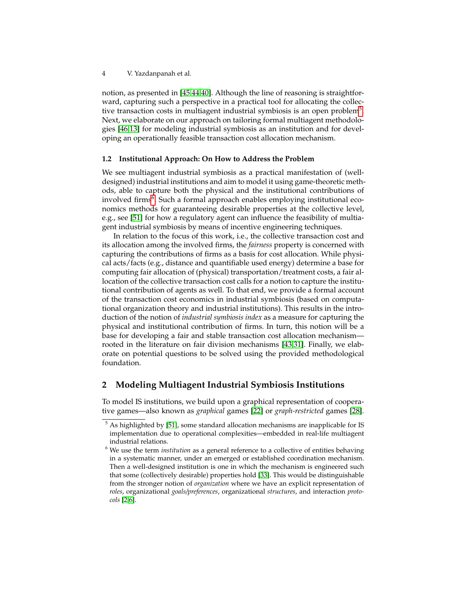notion, as presented in [\[45,](#page-17-4)[44,](#page-17-0)[40\]](#page-17-5). Although the line of reasoning is straightforward, capturing such a perspective in a practical tool for allocating the collec-tive transaction costs in multiagent industrial symbiosis is an open problem<sup>[5](#page-3-1)</sup>. Next, we elaborate on our approach on tailoring formal multiagent methodologies [\[46,](#page-17-6)[13\]](#page-16-7) for modeling industrial symbiosis as an institution and for developing an operationally feasible transaction cost allocation mechanism.

#### **1.2 Institutional Approach: On How to Address the Problem**

We see multiagent industrial symbiosis as a practical manifestation of (welldesigned) industrial institutions and aim to model it using game-theoretic methods, able to capture both the physical and the institutional contributions of involved firms<sup>[6](#page-3-2)</sup>. Such a formal approach enables employing institutional economics methods for guaranteeing desirable properties at the collective level, e.g., see [\[51\]](#page-18-3) for how a regulatory agent can influence the feasibility of multiagent industrial symbiosis by means of incentive engineering techniques.

In relation to the focus of this work, i.e., the collective transaction cost and its allocation among the involved firms, the *fairness* property is concerned with capturing the contributions of firms as a basis for cost allocation. While physical acts/facts (e.g., distance and quantifiable used energy) determine a base for computing fair allocation of (physical) transportation/treatment costs, a fair allocation of the collective transaction cost calls for a notion to capture the institutional contribution of agents as well. To that end, we provide a formal account of the transaction cost economics in industrial symbiosis (based on computational organization theory and industrial institutions). This results in the introduction of the notion of *industrial symbiosis index* as a measure for capturing the physical and institutional contribution of firms. In turn, this notion will be a base for developing a fair and stable transaction cost allocation mechanism rooted in the literature on fair division mechanisms [\[43,](#page-17-7)[31\]](#page-17-8). Finally, we elaborate on potential questions to be solved using the provided methodological foundation.

# <span id="page-3-0"></span>**2 Modeling Multiagent Industrial Symbiosis Institutions**

To model IS institutions, we build upon a graphical representation of cooperative games—also known as *graphical* games [\[22\]](#page-16-8) or *graph-restricted* games [\[28\]](#page-17-9).

<span id="page-3-1"></span> $5$  As highlighted by [\[51\]](#page-18-3), some standard allocation mechanisms are inapplicable for IS implementation due to operational complexities—embedded in real-life multiagent industrial relations.

<span id="page-3-2"></span><sup>6</sup> We use the term *institution* as a general reference to a collective of entities behaving in a systematic manner, under an emerged or established coordination mechanism. Then a well-designed institution is one in which the mechanism is engineered such that some (collectively desirable) properties hold [\[33\]](#page-17-10). This would be distinguishable from the stronger notion of *organization* where we have an explicit representation of *roles*, organizational *goals/preferences*, organizational *structures*, and interaction *protocols* [\[2](#page-15-0)[,6\]](#page-16-9).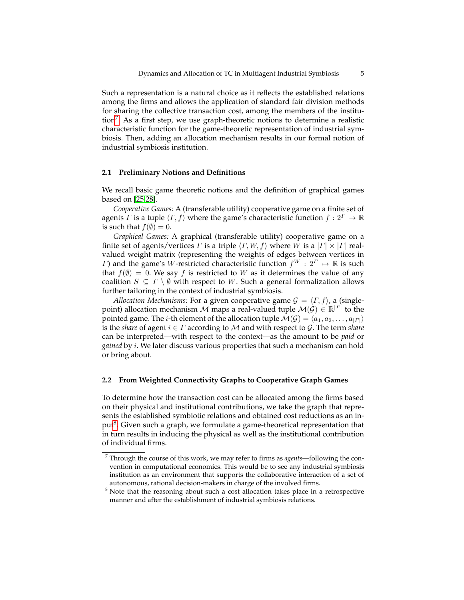Such a representation is a natural choice as it reflects the established relations among the firms and allows the application of standard fair division methods for sharing the collective transaction cost, among the members of the institu-tion<sup>[7](#page-4-0)</sup>. As a first step, we use graph-theoretic notions to determine a realistic characteristic function for the game-theoretic representation of industrial symbiosis. Then, adding an allocation mechanism results in our formal notion of industrial symbiosis institution.

#### **2.1 Preliminary Notions and Definitions**

We recall basic game theoretic notions and the definition of graphical games based on [\[25](#page-17-11)[,28\]](#page-17-9).

*Cooperative Games:* A (transferable utility) cooperative game on a finite set of agents Γ is a tuple  $\langle \Gamma, f \rangle$  where the game's characteristic function  $f : 2^{\Gamma} \mapsto \mathbb{R}$ is such that  $f(\emptyset) = 0$ .

*Graphical Games:* A graphical (transferable utility) cooperative game on a finite set of agents/vertices  $\Gamma$  is a triple  $\langle \Gamma, W, f \rangle$  where W is a  $|\Gamma| \times |\Gamma|$  realvalued weight matrix (representing the weights of edges between vertices in Γ) and the game's W-restricted characteristic function  $f^W : 2^{\Gamma} \mapsto \mathbb{R}$  is such that  $f(\emptyset) = 0$ . We say f is restricted to W as it determines the value of any coalition  $S \subseteq \Gamma \setminus \emptyset$  with respect to W. Such a general formalization allows further tailoring in the context of industrial symbiosis.

*Allocation Mechanisms:* For a given cooperative game  $G = \langle \Gamma, f \rangle$ , a (singlepoint) allocation mechanism  $\mathcal M$  maps a real-valued tuple  $\mathcal M(\mathcal G)\in\mathbb R^{|I|}$  to the pointed game. The *i*-th element of the allocation tuple  $\mathcal{M}(\mathcal{G}) = \langle a_1, a_2, \ldots, a_{|\mathcal{F}|} \rangle$ is the *share* of agent  $i \in \Gamma$  according to M and with respect to G. The term *share* can be interpreted—with respect to the context—as the amount to be *paid* or *gained* by i. We later discuss various properties that such a mechanism can hold or bring about.

## **2.2 From Weighted Connectivity Graphs to Cooperative Graph Games**

To determine how the transaction cost can be allocated among the firms based on their physical and institutional contributions, we take the graph that represents the established symbiotic relations and obtained cost reductions as an in-put<sup>[8](#page-4-1)</sup>. Given such a graph, we formulate a game-theoretical representation that in turn results in inducing the physical as well as the institutional contribution of individual firms.

<span id="page-4-0"></span><sup>7</sup> Through the course of this work, we may refer to firms as *agents*—following the convention in computational economics. This would be to see any industrial symbiosis institution as an environment that supports the collaborative interaction of a set of autonomous, rational decision-makers in charge of the involved firms.

<span id="page-4-1"></span> $8$  Note that the reasoning about such a cost allocation takes place in a retrospective manner and after the establishment of industrial symbiosis relations.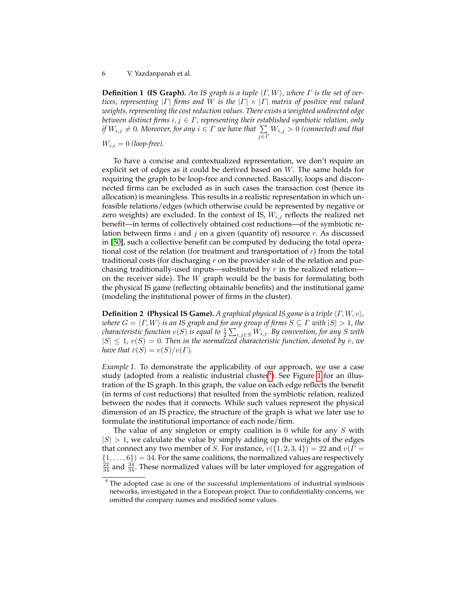**Definition 1 (IS Graph).** An IS graph is a tuple  $\langle \Gamma, W \rangle$ , where  $\Gamma$  is the set of ver*tices, representing* |Γ| *firms and* W *is the* |Γ| × |Γ| *matrix of positive real valued weights, representing the cost reduction values. There exists a weighted undirected edge between distinct firms* i, j ∈ Γ*, representing their established symbiotic relation, only if*  $W_{i,j} \neq 0$ . Moreover, for any  $i \in \Gamma$  we have that  $\sum\limits_{j \in \Gamma} W_{i,j} > 0$  (connected) and that

 $W_{i,i} = 0$  *(loop-free).* 

To have a concise and contextualized representation, we don't require an explicit set of edges as it could be derived based on W. The same holds for requiring the graph to be loop-free and connected. Basically, loops and disconnected firms can be excluded as in such cases the transaction cost (hence its allocation) is meaningless. This results in a realistic representation in which unfeasible relations/edges (which otherwise could be represented by negative or zero weights) are excluded. In the context of IS,  $W_{i,j}$  reflects the realized net benefit—in terms of collectively obtained cost reductions—of the symbiotic relation between firms  $i$  and  $j$  on a given (quantity of) resource  $r$ . As discussed in [\[50\]](#page-18-0), such a collective benefit can be computed by deducing the total operational cost of the relation (for treatment and transportation of  $r$ ) from the total traditional costs (for discharging  $r$  on the provider side of the relation and purchasing traditionally-used inputs—substituted by  $r$  in the realized relation on the receiver side). The  $W$  graph would be the basis for formulating both the physical IS game (reflecting obtainable benefits) and the institutional game (modeling the institutional power of firms in the cluster).

**Definition 2 (Physical IS Game).** *A graphical physical IS game is a triple*  $\langle \Gamma, W, v \rangle$ *, where*  $G = \langle \Gamma, W \rangle$  *is an IS graph and for any group of firms*  $S \subseteq \Gamma$  *with*  $|S| > 1$ *, the characteristic function*  $v(S)$  *is equal to*  $\frac{1}{2} \sum_{i,j \in S} W_{i,j}$ *. By convention, for any*  $S$  *with*  $|S| \leq 1$ ,  $v(S) = 0$ . Then in the normalized characteristic function, denoted by  $\bar{v}$ , we *have that*  $\bar{v}(S) = v(S)/v(\Gamma)$ *.* 

<span id="page-5-1"></span>*Example 1.* To demonstrate the applicability of our approach, we use a case study (adopted from a realistic industrial cluster<sup>[9](#page-5-0)</sup>). See Figure [1](#page-5-1) for an illustration of the IS graph. In this graph, the value on each edge reflects the benefit (in terms of cost reductions) that resulted from the symbiotic relation, realized between the nodes that it connects. While such values represent the physical dimension of an IS practice, the structure of the graph is what we later use to formulate the institutional importance of each node/firm.

The value of any singleton or empty coalition is  $0$  while for any  $S$  with  $|S| > 1$ , we calculate the value by simply adding up the weights of the edges that connect any two member of S. For instance,  $v({1, 2, 3, 4}) = 22$  and  $v(\Gamma =$  $\{1, \ldots, 6\}$  = 34. For the same coalitions, the normalized values are respectively  $\frac{22}{34}$  and  $\frac{34}{34}$ . These normalized values will be later employed for aggregation of

<span id="page-5-0"></span><sup>&</sup>lt;sup>9</sup> The adopted case is one of the successful implementations of industrial symbiosis networks, investigated in the a European project. Due to confidentiality concerns, we omitted the company names and modified some values.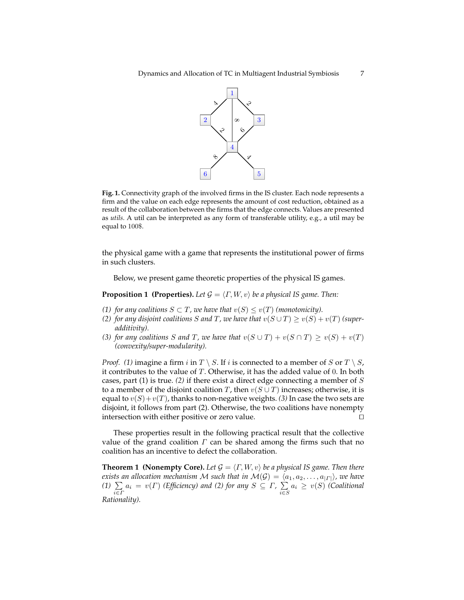

**Fig. 1.** Connectivity graph of the involved firms in the IS cluster. Each node represents a firm and the value on each edge represents the amount of cost reduction, obtained as a result of the collaboration between the firms that the edge connects. Values are presented as *utils*. A util can be interpreted as any form of transferable utility, e.g., a util may be equal to 100\$.

the physical game with a game that represents the institutional power of firms in such clusters.

Below, we present game theoretic properties of the physical IS games.

<span id="page-6-0"></span>**Proposition 1 (Properties).** Let  $G = \langle \Gamma, W, v \rangle$  be a physical IS game. Then:

- *(1) for any coalitions*  $S \subset T$ *, we have that*  $v(S) \le v(T)$  *(monotonicity).*
- *(2) for any disjoint coalitions S and T*, *we have that*  $v(S \cup T) \ge v(S) + v(T)$  *(superadditivity).*
- *(3) for any coalitions S and T*, we have that  $v(S \cup T) + v(S \cap T) \ge v(S) + v(T)$ *(convexity/super-modularity).*

*Proof.* (1) imagine a firm i in  $T \setminus S$ . If i is connected to a member of S or  $T \setminus S$ , it contributes to the value of  $T$ . Otherwise, it has the added value of 0. In both cases, part (1) is true. *(2)* if there exist a direct edge connecting a member of S to a member of the disjoint coalition T, then  $v(S \cup T)$  increases; otherwise, it is equal to  $v(S) + v(T)$ , thanks to non-negative weights. *(3)* In case the two sets are disjoint, it follows from part (2). Otherwise, the two coalitions have nonempty intersection with either positive or zero value.  $\Box$ 

These properties result in the following practical result that the collective value of the grand coalition  $\Gamma$  can be shared among the firms such that no coalition has an incentive to defect the collaboration.

<span id="page-6-1"></span>**Theorem 1 (Nonempty Core).** Let  $G = \langle \Gamma, W, v \rangle$  be a physical IS game. Then there *exists an allocation mechanism*  ${\cal M}$  *such that in*  ${\cal M}({\cal G}) = \langle a_1, a_2, \ldots, a_{|I|} \rangle$ *, we have (1)*  $\sum\limits_{i \in \Gamma} a_i = v(\Gamma)$  *(Efficiency) and (2) for any S*  $\subseteq$  *Γ*,  $\sum\limits_{i \in S}$  $\sum_{i \in S} a_i$  ≥  $v(S)$  *(Coalitional Rationality).*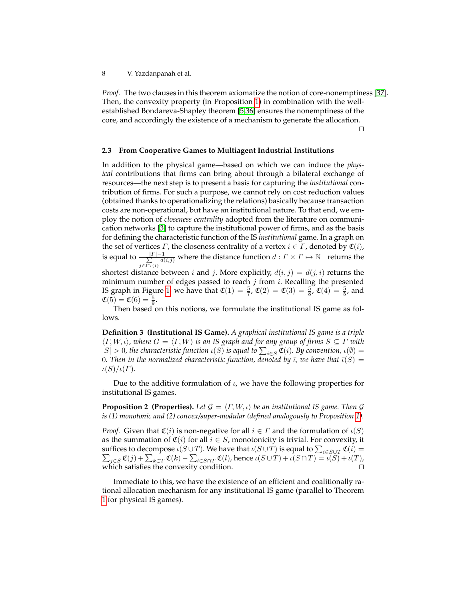*Proof.* The two clauses in this theorem axiomatize the notion of core-nonemptiness [\[37\]](#page-17-12). Then, the convexity property (in Proposition [1\)](#page-6-0) in combination with the wellestablished Bondareva-Shapley theorem [\[5](#page-16-10)[,36\]](#page-17-13) ensures the nonemptiness of the core, and accordingly the existence of a mechanism to generate the allocation.

 $\Box$ 

#### **2.3 From Cooperative Games to Multiagent Industrial Institutions**

In addition to the physical game—based on which we can induce the *physical* contributions that firms can bring about through a bilateral exchange of resources—the next step is to present a basis for capturing the *institutional* contribution of firms. For such a purpose, we cannot rely on cost reduction values (obtained thanks to operationalizing the relations) basically because transaction costs are non-operational, but have an institutional nature. To that end, we employ the notion of *closeness centrality* adopted from the literature on communication networks [\[3\]](#page-16-11) to capture the institutional power of firms, and as the basis for defining the characteristic function of the IS *institutional* game. In a graph on the set of vertices  $\Gamma$ , the closeness centrality of a vertex  $i \in \Gamma$ , denoted by  $\mathfrak{C}(i)$ , is equal to  $\frac{| \Gamma | - 1}{\sum_{i=1}^{n} d(i)}$  $\frac{|F| - 1}{\sum\limits_{j \in \Gamma \setminus \{i\}} d(i,j)}$  where the distance function  $d: \Gamma \times \Gamma \mapsto \mathbb{N}^+$  returns the

shortest distance between *i* and *j*. More explicitly,  $d(i, j) = d(j, i)$  returns the minimum number of edges passed to reach  $j$  from  $i$ . Recalling the presented IS graph in Figure [1,](#page-5-1) we have that  $\mathfrak{C}(1) = \frac{5}{7}$ ,  $\mathfrak{C}(2) = \mathfrak{C}(3) = \frac{5}{8}$ ,  $\mathfrak{C}(4) = \frac{5}{5}$ , and  $\mathfrak{C}(5) = \mathfrak{C}(6) = \frac{5}{9}.$ 

Then based on this notions, we formulate the institutional IS game as follows.

**Definition 3 (Institutional IS Game).** *A graphical institutional IS game is a triple*  $\langle \Gamma, W, \iota \rangle$ , where  $G = \langle \Gamma, W \rangle$  is an IS graph and for any group of firms  $S \subseteq \Gamma$  with  $|S| > 0$ , the characteristic function  $\iota(S)$  is equal to  $\sum_{i \in S} \mathfrak{C}(i)$ . By convention,  $\iota(\emptyset) =$ 0. Then in the normalized characteristic function, denoted by  $\overline{\iota}$ , we have that  $\overline{\iota}(S)$  =  $\iota(S)/\iota(\Gamma)$ .

Due to the additive formulation of  $\iota$ , we have the following properties for institutional IS games.

<span id="page-7-0"></span>**Proposition 2 (Properties).** *Let*  $G = \langle \Gamma, W, \iota \rangle$  *be an institutional IS game. Then*  $G$ *is (1) monotonic and (2) convex/super-modular (defined analogously to Proposition [1\)](#page-6-0).*

*Proof.* Given that  $\mathfrak{C}(i)$  is non-negative for all  $i \in \Gamma$  and the formulation of  $\iota(S)$ as the summation of  $\mathfrak{C}(i)$  for all  $i \in S$ , monotonicity is trivial. For convexity, it suffices to decompose  $\iota(S\cup T)$ . We have that  $\iota(S\cup T)$  is equal to  $\sum_{i\in S\cup T}\mathfrak{C}(i) =$  $\sum_{j\in S} \mathfrak{C}(j) + \sum_{k\in T} \mathfrak{C}(k) - \sum_{l\in S\cap T} \mathfrak{C}(l)$ , hence  $\iota(S\cup T) + \iota(S\cap T) = \iota(S) + \iota(T)$ , which satisfies the convexity condition.  $\Box$ 

Immediate to this, we have the existence of an efficient and coalitionally rational allocation mechanism for any institutional IS game (parallel to Theorem [1](#page-6-1) for physical IS games).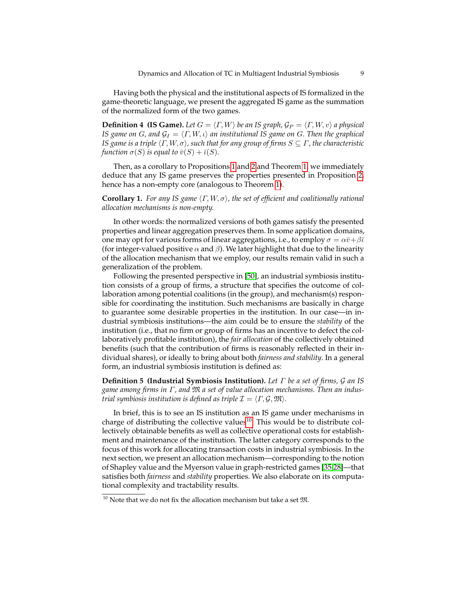Having both the physical and the institutional aspects of IS formalized in the game-theoretic language, we present the aggregated IS game as the summation of the normalized form of the two games.

**Definition 4 (IS Game).** *Let*  $G = \langle \Gamma, W \rangle$  *be an IS graph,*  $\mathcal{G}_P = \langle \Gamma, W, v \rangle$  *a physical IS game on G*, and  $\mathcal{G}_I = \langle \Gamma, W, \iota \rangle$  *an institutional IS game on G. Then the graphical IS game is a triple*  $\langle \Gamma, W, \sigma \rangle$ *, such that for any group of firms*  $S \subseteq \Gamma$ *, the characteristic function*  $\sigma(S)$  *is equal to*  $\bar{v}(S) + \bar{v}(S)$ *.* 

Then, as a corollary to Propositions [1](#page-6-0) and [2](#page-7-0) and Theorem [1,](#page-6-1) we immediately deduce that any IS game preserves the properties presented in Proposition [2,](#page-7-0) hence has a non-empty core (analogous to Theorem [1\)](#page-6-1).

**Corollary 1.** *For any IS game*  $\langle \Gamma, W, \sigma \rangle$ *, the set of efficient and coalitionally rational allocation mechanisms is non-empty.*

In other words: the normalized versions of both games satisfy the presented properties and linear aggregation preserves them. In some application domains, one may opt for various forms of linear aggregations, i.e., to employ  $\sigma = \alpha \bar{v} + \beta \bar{v}$ (for integer-valued positive  $\alpha$  and  $\beta$ ). We later highlight that due to the linearity of the allocation mechanism that we employ, our results remain valid in such a generalization of the problem.

Following the presented perspective in [\[50\]](#page-18-0), an industrial symbiosis institution consists of a group of firms, a structure that specifies the outcome of collaboration among potential coalitions (in the group), and mechanism(s) responsible for coordinating the institution. Such mechanisms are basically in charge to guarantee some desirable properties in the institution. In our case—in industrial symbiosis institutions—the aim could be to ensure the *stability* of the institution (i.e., that no firm or group of firms has an incentive to defect the collaboratively profitable institution), the *fair allocation* of the collectively obtained benefits (such that the contribution of firms is reasonably reflected in their individual shares), or ideally to bring about both *fairness and stability*. In a general form, an industrial symbiosis institution is defined as:

**Definition 5 (Industrial Symbiosis Institution).** *Let* Γ *be a set of firms,* G *an IS game among firms in* Γ*, and* M *a set of value allocation mechanisms. Then an industrial symbiosis institution is defined as triple*  $\mathcal{I} = \langle \Gamma, \mathcal{G}, \mathfrak{M} \rangle$ *.* 

In brief, this is to see an IS institution as an IS game under mechanisms in charge of distributing the collective values<sup>[10](#page-8-0)</sup>. This would be to distribute collectively obtainable benefits as well as collective operational costs for establishment and maintenance of the institution. The latter category corresponds to the focus of this work for allocating transaction costs in industrial symbiosis. In the next section, we present an allocation mechanism—corresponding to the notion of Shapley value and the Myerson value in graph-restricted games [\[35,](#page-17-1)[28\]](#page-17-9)—that satisfies both *fairness* and *stability* properties. We also elaborate on its computational complexity and tractability results.

<span id="page-8-0"></span> $^{10}$  Note that we do not fix the allocation mechanism but take a set  $\mathfrak{M}.$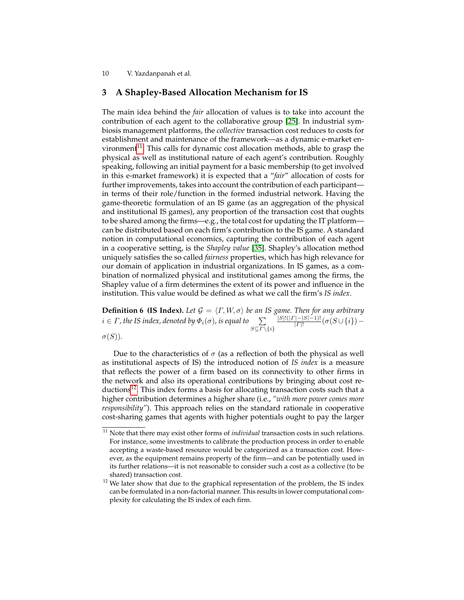# **3 A Shapley-Based Allocation Mechanism for IS**

The main idea behind the *fair* allocation of values is to take into account the contribution of each agent to the collaborative group [\[25\]](#page-17-11). In industrial symbiosis management platforms, the *collective* transaction cost reduces to costs for establishment and maintenance of the framework—as a dynamic e-market en-vironment<sup>[11](#page-9-0)</sup>. This calls for dynamic cost allocation methods, able to grasp the physical as well as institutional nature of each agent's contribution. Roughly speaking, following an initial payment for a basic membership (to get involved in this e-market framework) it is expected that a "*fair*" allocation of costs for further improvements, takes into account the contribution of each participant in terms of their role/function in the formed industrial network. Having the game-theoretic formulation of an IS game (as an aggregation of the physical and institutional IS games), any proportion of the transaction cost that oughts to be shared among the firms—e.g., the total cost for updating the IT platform can be distributed based on each firm's contribution to the IS game. A standard notion in computational economics, capturing the contribution of each agent in a cooperative setting, is the *Shapley value* [\[35\]](#page-17-1). Shapley's allocation method uniquely satisfies the so called *fairness* properties, which has high relevance for our domain of application in industrial organizations. In IS games, as a combination of normalized physical and institutional games among the firms, the Shapley value of a firm determines the extent of its power and influence in the institution. This value would be defined as what we call the firm's *IS index*.

**Definition 6 (IS Index).** Let  $\mathcal{G} = \langle \Gamma, W, \sigma \rangle$  be an IS game. Then for any arbitrary  $i \in \Gamma$  , the IS index, denoted by  $\Phi_i(\sigma)$ , is equal to  $\sum\limits_{S \subseteq \varGamma \setminus \{i\}}$  $|S|!(|I|-|S|-1)!$  $\frac{|[-|S|-1)!}{|F|!}(\sigma(S \cup \{i\})-$ 

 $\sigma(S)$ ).

Due to the characteristics of  $\sigma$  (as a reflection of both the physical as well as institutional aspects of IS) the introduced notion of *IS index* is a measure that reflects the power of a firm based on its connectivity to other firms in the network and also its operational contributions by bringing about cost re-ductions<sup>[12](#page-9-1)</sup>. This index forms a basis for allocating transaction costs such that a higher contribution determines a higher share (i.e., *"with more power comes more responsibility"*). This approach relies on the standard rationale in cooperative cost-sharing games that agents with higher potentials ought to pay the larger

<span id="page-9-0"></span><sup>&</sup>lt;sup>11</sup> Note that there may exist other forms of *individual* transaction costs in such relations. For instance, some investments to calibrate the production process in order to enable accepting a waste-based resource would be categorized as a transaction cost. However, as the equipment remains property of the firm—and can be potentially used in its further relations—it is not reasonable to consider such a cost as a collective (to be shared) transaction cost.

<span id="page-9-1"></span> $12$  We later show that due to the graphical representation of the problem, the IS index can be formulated in a non-factorial manner. This results in lower computational complexity for calculating the IS index of each firm.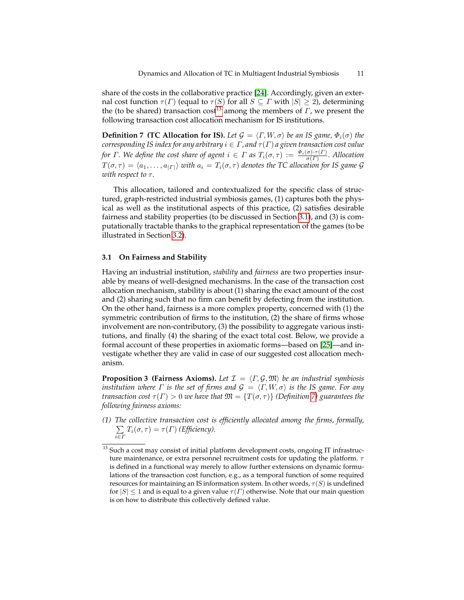share of the costs in the collaborative practice [\[24\]](#page-17-14). Accordingly, given an external cost function  $\tau(\Gamma)$  (equal to  $\tau(S)$  for all  $S \subseteq \Gamma$  with  $|S| \geq 2$ ), determining the (to be shared) transaction cost<sup>[13](#page-10-0)</sup> among the members of  $\Gamma$ , we present the following transaction cost allocation mechanism for IS institutions.

<span id="page-10-2"></span>**Definition 7 (TC Allocation for IS).** Let  $\mathcal{G} = \langle \Gamma, W, \sigma \rangle$  be an IS game,  $\Phi_i(\sigma)$  the *corresponding IS index for any arbitrary*  $i \in \Gamma$ , and  $\tau(\Gamma)$  a given transaction cost value *for*  $\Gamma$ . We define the cost share of agent  $i \in \Gamma$  as  $T_i(\sigma, \tau) := \frac{\Phi_i(\sigma) \cdot \tau(\Gamma)}{\sigma(\Gamma)}$ . Allocation  $T(\sigma, \tau) = \langle a_1, \ldots, a_{|I|} \rangle$  *with*  $a_i = T_i(\sigma, \tau)$  *denotes the TC allocation for IS game G with respect to τ.* 

This allocation, tailored and contextualized for the specific class of structured, graph-restricted industrial symbiosis games, (1) captures both the physical as well as the institutional aspects of this practice, (2) satisfies desirable fairness and stability properties (to be discussed in Section [3.1\)](#page-10-1), and (3) is computationally tractable thanks to the graphical representation of the games (to be illustrated in Section [3.2\)](#page-12-0).

#### <span id="page-10-1"></span>**3.1 On Fairness and Stability**

Having an industrial institution, *stability* and *fairness* are two properties insurable by means of well-designed mechanisms. In the case of the transaction cost allocation mechanism, stability is about (1) sharing the exact amount of the cost and (2) sharing such that no firm can benefit by defecting from the institution. On the other hand, fairness is a more complex property, concerned with (1) the symmetric contribution of firms to the institution, (2) the share of firms whose involvement are non-contributory, (3) the possibility to aggregate various institutions, and finally (4) the sharing of the exact total cost. Below, we provide a formal account of these properties in axiomatic forms—based on [\[25\]](#page-17-11)—and investigate whether they are valid in case of our suggested cost allocation mechanism.

**Proposition 3 (Fairness Axioms).** Let  $\mathcal{I} = \langle \Gamma, \mathcal{G}, \mathfrak{M} \rangle$  be an industrial symbiosis *institution where*  $\Gamma$  *is the set of firms and*  $\mathcal{G} = \langle \Gamma, W, \sigma \rangle$  *is the IS game. For any transaction cost*  $\tau(\Gamma) > 0$  *we have that*  $\mathfrak{M} = \{T(\sigma, \tau)\}\$  *(Definition [7\)](#page-10-2) guarantees the following fairness axioms:*

*(1) The collective transaction cost is efficiently allocated among the firms, formally,* P  $\sum_{i\in\Gamma}T_i(\sigma,\tau)=\tau(\Gamma)$  *(Efficiency).* 

<span id="page-10-0"></span> $13$  Such a cost may consist of initial platform development costs, ongoing IT infrastructure maintenance, or extra personnel recruitment costs for updating the platform.  $\tau$ is defined in a functional way merely to allow further extensions on dynamic formulations of the transaction cost function, e.g., as a temporal function of some required resources for maintaining an IS information system. In other words,  $\tau(S)$  is undefined for  $|S| \leq 1$  and is equal to a given value  $\tau(\Gamma)$  otherwise. Note that our main question is on how to distribute this collectively defined value.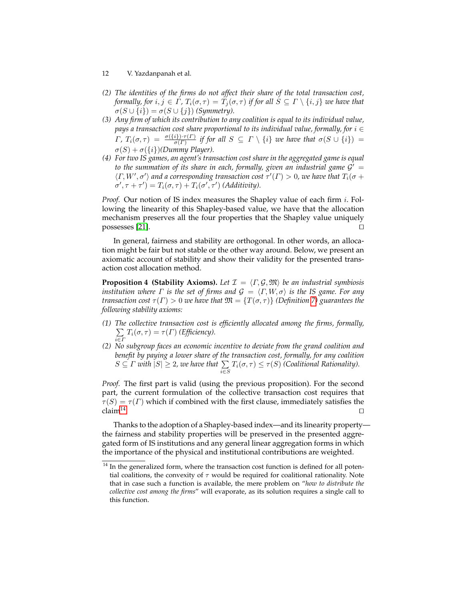- 12 V. Yazdanpanah et al.
- *(2) The identities of the firms do not affect their share of the total transaction cost, formally, for*  $i, j \in \Gamma$ ,  $T_i(\sigma, \tau) = T_j(\sigma, \tau)$  *if for all*  $S \subseteq \Gamma \setminus \{i, j\}$  *we have that*  $\sigma(S \cup \{i\}) = \sigma(S \cup \{j\})$  *(Symmetry).*
- *(3) Any firm of which its contribution to any coalition is equal to its individual value, pays a transaction cost share proportional to its individual value, formally, for i* ∈  $\Gamma$ ,  $T_i(\sigma, \tau) = \frac{\sigma(\{i\}) \cdot \tau(\Gamma)}{\sigma(\Gamma)}$  if for all  $S \subseteq \Gamma \setminus \{i\}$  we have that  $\sigma(S \cup \{i\}) =$  $\sigma(S) + \sigma({i})$ *(Dummy Player).*
- *(4) For two IS games, an agent's transaction cost share in the aggregated game is equal* to the summation of its share in each, formally, given an industrial game  $\mathcal{G}' =$  $\langle \Gamma, W', \sigma' \rangle$  and a corresponding transaction cost  $\tau'(T) > 0$ , we have that  $T_i(\sigma +$  $\sigma', \tau + \tau' = T_i(\sigma, \tau) + T_i(\sigma', \tau')$  (Additivity).

*Proof.* Our notion of IS index measures the Shapley value of each firm i. Following the linearity of this Shapley-based value, we have that the allocation mechanism preserves all the four properties that the Shapley value uniquely possesses [\[21\]](#page-16-12).  $\Box$ 

In general, fairness and stability are orthogonal. In other words, an allocation might be fair but not stable or the other way around. Below, we present an axiomatic account of stability and show their validity for the presented transaction cost allocation method.

**Proposition 4 (Stability Axioms).** Let  $\mathcal{I} = \langle \Gamma, \mathcal{G}, \mathfrak{M} \rangle$  be an industrial symbiosis *institution where*  $\Gamma$  *is the set of firms and*  $\mathcal{G} = \langle \Gamma, W, \sigma \rangle$  *is the IS game. For any transaction cost*  $\tau(\Gamma) > 0$  *we have that*  $\mathfrak{M} = \{T(\sigma, \tau)\}\$  *(Definition [7\)](#page-10-2) guarantees the following stability axioms:*

- *(1) The collective transaction cost is efficiently allocated among the firms, formally,*  $\sum$  $\sum_{i\in\Gamma}T_i(\sigma,\tau)=\tau(\Gamma)$  *(Efficiency).*
- *(2) No subgroup faces an economic incentive to deviate from the grand coalition and benefit by paying a lower share of the transaction cost, formally, for any coalition*  $S \subseteq \Gamma$  with  $|S| \geq 2$ , we have that  $\sum_{i \in S} T_i(\sigma, \tau) \leq \tau(S)$  (Coalitional Rationality).

*Proof.* The first part is valid (using the previous proposition). For the second part, the current formulation of the collective transaction cost requires that  $\tau(S) = \tau(\Gamma)$  which if combined with the first clause, immediately satisfies the  $claim<sup>14</sup>$  $claim<sup>14</sup>$  $claim<sup>14</sup>$ . . Utilization of the contract of the contract of the contract of the contract of the contract of the contract o

Thanks to the adoption of a Shapley-based index—and its linearity property the fairness and stability properties will be preserved in the presented aggregated form of IS institutions and any general linear aggregation forms in which the importance of the physical and institutional contributions are weighted.

<span id="page-11-0"></span> $14$  In the generalized form, where the transaction cost function is defined for all potential coalitions, the convexity of  $\tau$  would be required for coalitional rationality. Note that in case such a function is available, the mere problem on "*how to distribute the collective cost among the firms*" will evaporate, as its solution requires a single call to this function.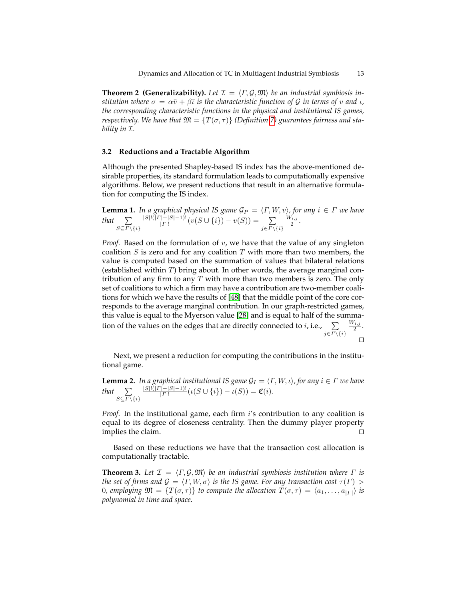**Theorem 2 (Generalizability).** Let  $\mathcal{I} = \langle \Gamma, \mathcal{G}, \mathfrak{M} \rangle$  be an industrial symbiosis in*stitution where*  $\sigma = \alpha \bar{v} + \beta \bar{v}$  *is the characteristic function of G in terms of v and <i>i*, *the corresponding characteristic functions in the physical and institutional IS games, respectively.* We have that  $\mathfrak{M} = \{T(\sigma, \tau)\}\$  (Definition [7\)](#page-10-2) guarantees fairness and sta*bility in* I*.*

## <span id="page-12-0"></span>**3.2 Reductions and a Tractable Algorithm**

Although the presented Shapley-based IS index has the above-mentioned desirable properties, its standard formulation leads to computationally expensive algorithms. Below, we present reductions that result in an alternative formulation for computing the IS index.

<span id="page-12-1"></span>**Lemma 1.** In a graphical physical IS game  $\mathcal{G}_P = \langle \Gamma, W, v \rangle$ , for any  $i \in \Gamma$  we have that  $\sum$  $S\subseteq\Gamma\backslash\{i\}$  $|S|!(|I|-|S|-1)!$  $\frac{(-|S|-1)!}{|F|!}(v(S \cup \{i\}) - v(S)) = \sum_{i=1}^{\infty}$  $j \in \Gamma \backslash \{i\}$  $\frac{W_{i,j}}{2}$ .

*Proof.* Based on the formulation of v, we have that the value of any singleton coalition  $S$  is zero and for any coalition  $T$  with more than two members, the value is computed based on the summation of values that bilateral relations (established within  $T$ ) bring about. In other words, the average marginal contribution of any firm to any  $T$  with more than two members is zero. The only set of coalitions to which a firm may have a contribution are two-member coalitions for which we have the results of [\[48\]](#page-18-1) that the middle point of the core corresponds to the average marginal contribution. In our graph-restricted games, this value is equal to the Myerson value [\[28\]](#page-17-9) and is equal to half of the summation of the values on the edges that are directly connected to *i*, i.e.,  $\sum$  $j \in \Gamma \backslash \{i\}$  $\frac{W_{i,j}}{2}$ .  $\Box$ 

Next, we present a reduction for computing the contributions in the institutional game.

<span id="page-12-2"></span>**Lemma 2.** *In a graphical institutional IS game*  $\mathcal{G}_I = \langle \Gamma, W, \iota \rangle$ , for any  $i \in \Gamma$  we have that  $\sum$  $S\subseteq \Gamma\backslash\{i\}$  $|S|!(|I|-|S|-1)!$  $\frac{(-|S|-1)!}{|S|!}(\iota(S \cup \{i\}) - \iota(S)) = \mathfrak{C}(i).$ 

*Proof.* In the institutional game, each firm i's contribution to any coalition is equal to its degree of closeness centrality. Then the dummy player property implies the claim.  $\Box$ 

Based on these reductions we have that the transaction cost allocation is computationally tractable.

**Theorem 3.** Let  $\mathcal{I} = \langle \Gamma, \mathcal{G}, \mathfrak{M} \rangle$  be an industrial symbiosis institution where  $\Gamma$  is *the set of firms and*  $\mathcal{G} = \langle \Gamma, W, \sigma \rangle$  *is the IS game. For any transaction cost*  $\tau(\Gamma)$  > 0, employing  $\mathfrak{M} = \{T(\sigma, \tau)\}\$ to compute the allocation  $T(\sigma, \tau) = \langle a_1, \ldots, a_{| \Gamma |} \rangle$  is *polynomial in time and space.*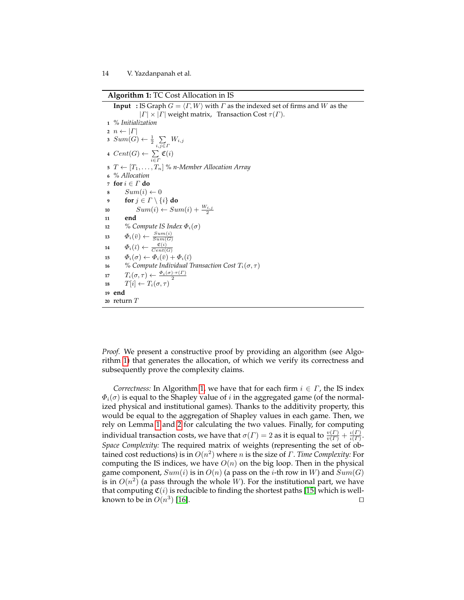**Algorithm 1:** TC Cost Allocation in IS

**Input** : IS Graph  $G = \langle \Gamma, W \rangle$  with  $\Gamma$  as the indexed set of firms and W as the  $| \Gamma | \times | \Gamma |$  weight matrix, Transaction Cost  $\tau(\Gamma)$ . *% Initialization*  $n \leftarrow |\Gamma|$  $\textit{s} \ \textit{Sum}(G) \leftarrow \frac{1}{2} \sum_{i,j \in \Gamma} W_{i,j}$   $Cent(G) \leftarrow \sum_{i \in \Gamma} \mathfrak{C}(i)$   $T \leftarrow [T_1, \ldots, T_n]$  % *n*-Member Allocation Array *% Allocation* **for** i ∈ Γ **do**  $Sum(i) \leftarrow 0$  **for**  $j \in \Gamma \setminus \{i\}$  **do**  $Sum(i) \leftarrow Sum(i) + \frac{W_{i,j}}{2}$ **<sup>11</sup> end** *% Compute IS Index* Φi(σ)  $\Phi_i(\bar{v}) \leftarrow \frac{Sum(i)}{Sum(G)}$   $\Phi_i(\bar{\iota}) \leftarrow \frac{\mathfrak{C}(i)}{Cent(G)}$   $\Phi_i(\sigma) \leftarrow \Phi_i(\bar{v}) + \Phi_i(\bar{v})$  *% Compute Individual Transaction Cost*  $T_i(\sigma, \tau)$   $T_i(\sigma, \tau) \leftarrow \frac{\Phi_i(\sigma) \cdot \tau(\Gamma)}{2}$   $T[i] \leftarrow T_i(\sigma, \tau)$ **<sup>19</sup> end <sup>20</sup>** return T

*Proof.* We present a constructive proof by providing an algorithm (see Algorithm [1\)](#page-13-0) that generates the allocation, of which we verify its correctness and subsequently prove the complexity claims.

<span id="page-13-0"></span>*Correctness:* In Algorithm [1,](#page-13-0) we have that for each firm  $i \in \Gamma$ , the IS index  $\Phi_i(\sigma)$  is equal to the Shapley value of i in the aggregated game (of the normalized physical and institutional games). Thanks to the additivity property, this would be equal to the aggregation of Shapley values in each game. Then, we rely on Lemma [1](#page-12-1) and [2](#page-12-2) for calculating the two values. Finally, for computing individual transaction costs, we have that  $\sigma(\varGamma)=2$  as it is equal to  $\frac{v(\varGamma)}{v(\varGamma)}+\frac{\iota(\varGamma)}{\iota(\varGamma)}$  $rac{\iota(I)}{\iota(I)}$ . *Space Complexity:* The required matrix of weights (representing the set of obtained cost reductions) is in O(n 2 ) where n is the size of Γ. *Time Complexity:* For computing the IS indices, we have  $O(n)$  on the big loop. Then in the physical game component,  $Sum(i)$  is in  $O(n)$  (a pass on the *i*-th row in *W*) and  $Sum(G)$ is in  $O(n^2)$  (a pass through the whole  $W$ ). For the institutional part, we have that computing  $C(i)$  is reducible to finding the shortest paths [\[15\]](#page-16-13) which is wellknown to be in  $O(n^3)$ ) [\[16\]](#page-16-14).  $\Box$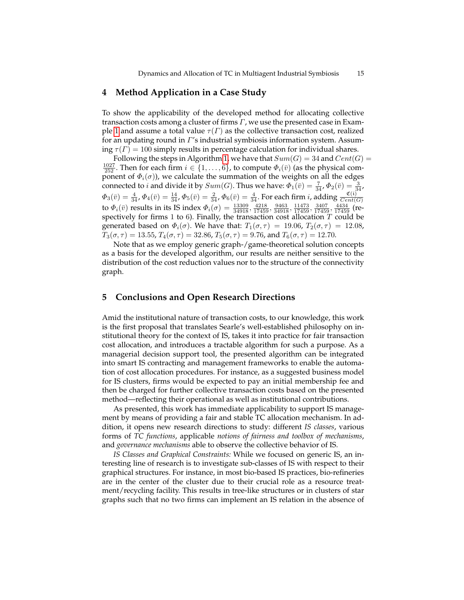# **4 Method Application in a Case Study**

To show the applicability of the developed method for allocating collective transaction costs among a cluster of firms  $\Gamma$ , we use the presented case in Exam-ple [1](#page-5-1) and assume a total value  $\tau(\Gamma)$  as the collective transaction cost, realized for an updating round in Γ's industrial symbiosis information system. Assuming  $\tau(\Gamma) = 100$  simply results in percentage calculation for individual shares.

Following the steps in Algorithm [1,](#page-13-0) we have that  $Sum(G) = 34$  and  $Cent(G)$  $\frac{1027}{252}$ . Then for each firm  $i \in \{1, \ldots, 6\}$ , to compute  $\Phi_i(\bar{v})$  (as the physical component of  $\Phi_i(\sigma)$ ), we calculate the summation of the weights on all the edges connected to *i* and divide it by  $Sum(G)$ . Thus we have:  $\Phi_1(\bar{v}) = \frac{7}{34}$ ,  $\Phi_2(\bar{v}) = \frac{3}{34}$ ,  $\Phi_3(\bar{v})=\frac{4}{34}$ ,  $\Phi_4(\bar{v})=\frac{14}{34}$ ,  $\Phi_5(\bar{v})=\frac{2}{34}$ ,  $\Phi_6(\bar{v})=\frac{4}{34}$ . For each firm  $i$ , adding  $\frac{\mathfrak{C}(\mathfrak{i})}{Cent(G)}$ to  $\Phi_i(\bar{v})$  results in its IS index  $\Phi_i(\sigma) = \frac{13309}{34918}, \frac{4218}{17459}, \frac{9463}{34918}, \frac{11473}{17459}, \frac{3407}{17459}, \frac{4434}{17459}$  (respectively for firms 1 to 6). Finally, the transaction cost allocation  $T$  could be generated based on  $\Phi_i(\sigma)$ . We have that:  $T_1(\sigma, \tau) = 19.06$ ,  $T_2(\sigma, \tau) = 12.08$ ,  $T_3(\sigma, \tau) = 13.55, T_4(\sigma, \tau) = 32.86, T_5(\sigma, \tau) = 9.76$ , and  $T_6(\sigma, \tau) = 12.70$ .

Note that as we employ generic graph-/game-theoretical solution concepts as a basis for the developed algorithm, our results are neither sensitive to the distribution of the cost reduction values nor to the structure of the connectivity graph.

## **5 Conclusions and Open Research Directions**

Amid the institutional nature of transaction costs, to our knowledge, this work is the first proposal that translates Searle's well-established philosophy on institutional theory for the context of IS, takes it into practice for fair transaction cost allocation, and introduces a tractable algorithm for such a purpose. As a managerial decision support tool, the presented algorithm can be integrated into smart IS contracting and management frameworks to enable the automation of cost allocation procedures. For instance, as a suggested business model for IS clusters, firms would be expected to pay an initial membership fee and then be charged for further collective transaction costs based on the presented method—reflecting their operational as well as institutional contributions.

As presented, this work has immediate applicability to support IS management by means of providing a fair and stable TC allocation mechanism. In addition, it opens new research directions to study: different *IS classes*, various forms of *TC functions*, applicable *notions of fairness and toolbox of mechanisms*, and *governance mechanisms* able to observe the collective behavior of IS.

*IS Classes and Graphical Constraints:* While we focused on generic IS, an interesting line of research is to investigate sub-classes of IS with respect to their graphical structures. For instance, in most bio-based IS practices, bio-refineries are in the center of the cluster due to their crucial role as a resource treatment/recycling facility. This results in tree-like structures or in clusters of star graphs such that no two firms can implement an IS relation in the absence of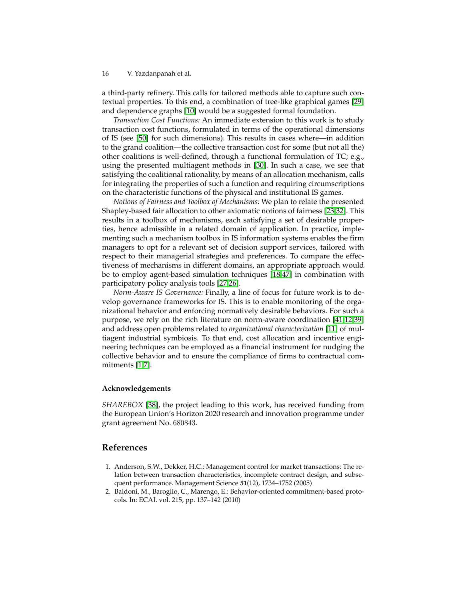a third-party refinery. This calls for tailored methods able to capture such contextual properties. To this end, a combination of tree-like graphical games [\[29\]](#page-17-15) and dependence graphs [\[10\]](#page-16-15) would be a suggested formal foundation.

*Transaction Cost Functions:* An immediate extension to this work is to study transaction cost functions, formulated in terms of the operational dimensions of IS (see [\[50\]](#page-18-0) for such dimensions). This results in cases where—in addition to the grand coalition—the collective transaction cost for some (but not all the) other coalitions is well-defined, through a functional formulation of TC; e.g., using the presented multiagent methods in [\[30\]](#page-17-16). In such a case, we see that satisfying the coalitional rationality, by means of an allocation mechanism, calls for integrating the properties of such a function and requiring circumscriptions on the characteristic functions of the physical and institutional IS games.

*Notions of Fairness and Toolbox of Mechanisms:* We plan to relate the presented Shapley-based fair allocation to other axiomatic notions of fairness [\[23,](#page-16-16)[32\]](#page-17-17). This results in a toolbox of mechanisms, each satisfying a set of desirable properties, hence admissible in a related domain of application. In practice, implementing such a mechanism toolbox in IS information systems enables the firm managers to opt for a relevant set of decision support services, tailored with respect to their managerial strategies and preferences. To compare the effectiveness of mechanisms in different domains, an appropriate approach would be to employ agent-based simulation techniques [\[18](#page-16-17)[,47\]](#page-18-5) in combination with participatory policy analysis tools [\[27](#page-17-18)[,26\]](#page-17-19).

*Norm-Aware IS Governance:* Finally, a line of focus for future work is to develop governance frameworks for IS. This is to enable monitoring of the organizational behavior and enforcing normatively desirable behaviors. For such a purpose, we rely on the rich literature on norm-aware coordination [\[41](#page-17-20)[,12](#page-16-18)[,39\]](#page-17-21) and address open problems related to *organizational characterization* [\[11\]](#page-16-19) of multiagent industrial symbiosis. To that end, cost allocation and incentive engineering techniques can be employed as a financial instrument for nudging the collective behavior and to ensure the compliance of firms to contractual commitments [\[1](#page-15-1)[,7\]](#page-16-20).

#### **Acknowledgements**

*SHAREBOX* [\[38\]](#page-17-22), the project leading to this work, has received funding from the European Union's Horizon 2020 research and innovation programme under grant agreement No. 680843.

## **References**

- <span id="page-15-1"></span>1. Anderson, S.W., Dekker, H.C.: Management control for market transactions: The relation between transaction characteristics, incomplete contract design, and subsequent performance. Management Science **51**(12), 1734–1752 (2005)
- <span id="page-15-0"></span>2. Baldoni, M., Baroglio, C., Marengo, E.: Behavior-oriented commitment-based protocols. In: ECAI. vol. 215, pp. 137–142 (2010)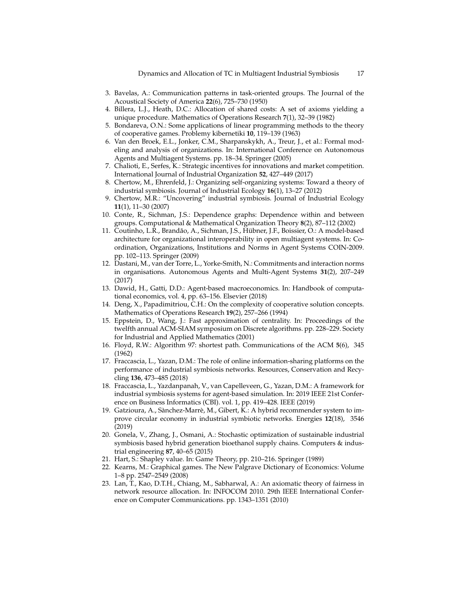Dynamics and Allocation of TC in Multiagent Industrial Symbiosis 17

- <span id="page-16-11"></span>3. Bavelas, A.: Communication patterns in task-oriented groups. The Journal of the Acoustical Society of America **22**(6), 725–730 (1950)
- <span id="page-16-3"></span>4. Billera, L.J., Heath, D.C.: Allocation of shared costs: A set of axioms yielding a unique procedure. Mathematics of Operations Research **7**(1), 32–39 (1982)
- <span id="page-16-10"></span>5. Bondareva, O.N.: Some applications of linear programming methods to the theory of cooperative games. Problemy kibernetiki **10**, 119–139 (1963)
- <span id="page-16-9"></span>6. Van den Broek, E.L., Jonker, C.M., Sharpanskykh, A., Treur, J., et al.: Formal modeling and analysis of organizations. In: International Conference on Autonomous Agents and Multiagent Systems. pp. 18–34. Springer (2005)
- <span id="page-16-20"></span>7. Chalioti, E., Serfes, K.: Strategic incentives for innovations and market competition. International Journal of Industrial Organization **52**, 427–449 (2017)
- <span id="page-16-5"></span>8. Chertow, M., Ehrenfeld, J.: Organizing self-organizing systems: Toward a theory of industrial symbiosis. Journal of Industrial Ecology **16**(1), 13–27 (2012)
- <span id="page-16-0"></span>9. Chertow, M.R.: "Uncovering" industrial symbiosis. Journal of Industrial Ecology **11**(1), 11–30 (2007)
- <span id="page-16-15"></span>10. Conte, R., Sichman, J.S.: Dependence graphs: Dependence within and between groups. Computational & Mathematical Organization Theory **8**(2), 87–112 (2002)
- <span id="page-16-19"></span>11. Coutinho, L.R., Brandão, A., Sichman, J.S., Hübner, J.F., Boissier, O.: A model-based architecture for organizational interoperability in open multiagent systems. In: Coordination, Organizations, Institutions and Norms in Agent Systems COIN-2009. pp. 102–113. Springer (2009)
- <span id="page-16-18"></span>12. Dastani, M., van der Torre, L., Yorke-Smith, N.: Commitments and interaction norms in organisations. Autonomous Agents and Multi-Agent Systems **31**(2), 207–249 (2017)
- <span id="page-16-7"></span>13. Dawid, H., Gatti, D.D.: Agent-based macroeconomics. In: Handbook of computational economics, vol. 4, pp. 63–156. Elsevier (2018)
- <span id="page-16-6"></span>14. Deng, X., Papadimitriou, C.H.: On the complexity of cooperative solution concepts. Mathematics of Operations Research **19**(2), 257–266 (1994)
- <span id="page-16-13"></span>15. Eppstein, D., Wang, J.: Fast approximation of centrality. In: Proceedings of the twelfth annual ACM-SIAM symposium on Discrete algorithms. pp. 228–229. Society for Industrial and Applied Mathematics (2001)
- <span id="page-16-14"></span>16. Floyd, R.W.: Algorithm 97: shortest path. Communications of the ACM **5**(6), 345 (1962)
- <span id="page-16-4"></span>17. Fraccascia, L., Yazan, D.M.: The role of online information-sharing platforms on the performance of industrial symbiosis networks. Resources, Conservation and Recycling **136**, 473–485 (2018)
- <span id="page-16-17"></span>18. Fraccascia, L., Yazdanpanah, V., van Capelleveen, G., Yazan, D.M.: A framework for industrial symbiosis systems for agent-based simulation. In: 2019 IEEE 21st Conference on Business Informatics (CBI). vol. 1, pp. 419–428. IEEE (2019)
- <span id="page-16-2"></span>19. Gatzioura, A., Sànchez-Marrè, M., Gibert, K.: A hybrid recommender system to improve circular economy in industrial symbiotic networks. Energies **12**(18), 3546 (2019)
- <span id="page-16-1"></span>20. Gonela, V., Zhang, J., Osmani, A.: Stochastic optimization of sustainable industrial symbiosis based hybrid generation bioethanol supply chains. Computers & industrial engineering **87**, 40–65 (2015)
- <span id="page-16-12"></span>21. Hart, S.: Shapley value. In: Game Theory, pp. 210–216. Springer (1989)
- <span id="page-16-8"></span>22. Kearns, M.: Graphical games. The New Palgrave Dictionary of Economics: Volume 1–8 pp. 2547–2549 (2008)
- <span id="page-16-16"></span>23. Lan, T., Kao, D.T.H., Chiang, M., Sabharwal, A.: An axiomatic theory of fairness in network resource allocation. In: INFOCOM 2010. 29th IEEE International Conference on Computer Communications. pp. 1343–1351 (2010)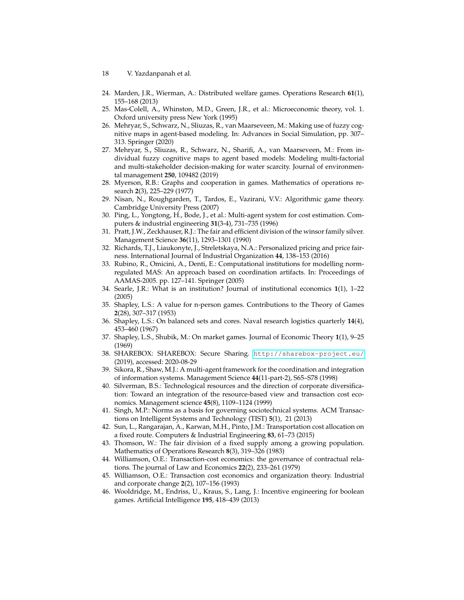- 18 V. Yazdanpanah et al.
- <span id="page-17-14"></span>24. Marden, J.R., Wierman, A.: Distributed welfare games. Operations Research **61**(1), 155–168 (2013)
- <span id="page-17-11"></span>25. Mas-Colell, A., Whinston, M.D., Green, J.R., et al.: Microeconomic theory, vol. 1. Oxford university press New York (1995)
- <span id="page-17-19"></span>26. Mehryar, S., Schwarz, N., Sliuzas, R., van Maarseveen, M.: Making use of fuzzy cognitive maps in agent-based modeling. In: Advances in Social Simulation, pp. 307– 313. Springer (2020)
- <span id="page-17-18"></span>27. Mehryar, S., Sliuzas, R., Schwarz, N., Sharifi, A., van Maarseveen, M.: From individual fuzzy cognitive maps to agent based models: Modeling multi-factorial and multi-stakeholder decision-making for water scarcity. Journal of environmental management **250**, 109482 (2019)
- <span id="page-17-9"></span>28. Myerson, R.B.: Graphs and cooperation in games. Mathematics of operations research **2**(3), 225–229 (1977)
- <span id="page-17-15"></span>29. Nisan, N., Roughgarden, T., Tardos, E., Vazirani, V.V.: Algorithmic game theory. Cambridge University Press (2007)
- <span id="page-17-16"></span>30. Ping, L., Yongtong, H., Bode, J., et al.: Multi-agent system for cost estimation. Computers & industrial engineering **31**(3-4), 731–735 (1996)
- <span id="page-17-8"></span>31. Pratt, J.W., Zeckhauser, R.J.: The fair and efficient division of the winsor family silver. Management Science **36**(11), 1293–1301 (1990)
- <span id="page-17-17"></span>32. Richards, T.J., Liaukonyte, J., Streletskaya, N.A.: Personalized pricing and price fairness. International Journal of Industrial Organization **44**, 138–153 (2016)
- <span id="page-17-10"></span>33. Rubino, R., Omicini, A., Denti, E.: Computational institutions for modelling normregulated MAS: An approach based on coordination artifacts. In: Proceedings of AAMAS-2005. pp. 127–141. Springer (2005)
- <span id="page-17-3"></span>34. Searle, J.R.: What is an institution? Journal of institutional economics **1**(1), 1–22 (2005)
- <span id="page-17-1"></span>35. Shapley, L.S.: A value for n-person games. Contributions to the Theory of Games **2**(28), 307–317 (1953)
- <span id="page-17-13"></span>36. Shapley, L.S.: On balanced sets and cores. Naval research logistics quarterly **14**(4), 453–460 (1967)
- <span id="page-17-12"></span>37. Shapley, L.S., Shubik, M.: On market games. Journal of Economic Theory **1**(1), 9–25 (1969)
- <span id="page-17-22"></span>38. SHAREBOX: SHAREBOX: Secure Sharing. <http://sharebox-project.eu/> (2019), accessed: 2020-08-29
- <span id="page-17-21"></span>39. Sikora, R., Shaw, M.J.: A multi-agent framework for the coordination and integration of information systems. Management Science **44**(11-part-2), S65–S78 (1998)
- <span id="page-17-5"></span>40. Silverman, B.S.: Technological resources and the direction of corporate diversification: Toward an integration of the resource-based view and transaction cost economics. Management science **45**(8), 1109–1124 (1999)
- <span id="page-17-20"></span>41. Singh, M.P.: Norms as a basis for governing sociotechnical systems. ACM Transactions on Intelligent Systems and Technology (TIST) **5**(1), 21 (2013)
- <span id="page-17-2"></span>42. Sun, L., Rangarajan, A., Karwan, M.H., Pinto, J.M.: Transportation cost allocation on a fixed route. Computers & Industrial Engineering **83**, 61–73 (2015)
- <span id="page-17-7"></span>43. Thomson, W.: The fair division of a fixed supply among a growing population. Mathematics of Operations Research **8**(3), 319–326 (1983)
- <span id="page-17-0"></span>44. Williamson, O.E.: Transaction-cost economics: the governance of contractual relations. The journal of Law and Economics **22**(2), 233–261 (1979)
- <span id="page-17-4"></span>45. Williamson, O.E.: Transaction cost economics and organization theory. Industrial and corporate change **2**(2), 107–156 (1993)
- <span id="page-17-6"></span>46. Wooldridge, M., Endriss, U., Kraus, S., Lang, J.: Incentive engineering for boolean games. Artificial Intelligence **195**, 418–439 (2013)